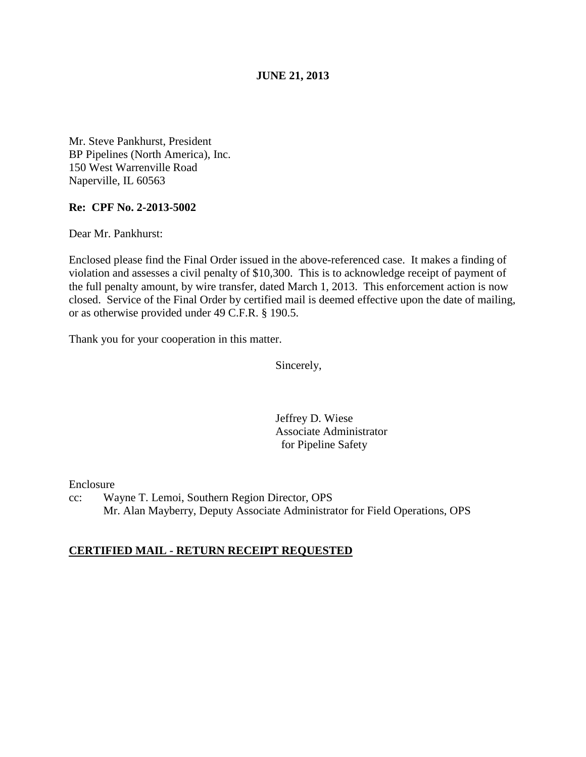**JUNE 21, 2013** 

Mr. Steve Pankhurst, President BP Pipelines (North America), Inc. 150 West Warrenville Road Naperville, IL 60563

## **Re: CPF No. 2-2013-5002**

Dear Mr. Pankhurst:

Enclosed please find the Final Order issued in the above-referenced case. It makes a finding of violation and assesses a civil penalty of \$10,300. This is to acknowledge receipt of payment of the full penalty amount, by wire transfer, dated March 1, 2013. This enforcement action is now closed. Service of the Final Order by certified mail is deemed effective upon the date of mailing, or as otherwise provided under 49 C.F.R. § 190.5.

Thank you for your cooperation in this matter.

Sincerely,

Jeffrey D. Wiese Associate Administrator for Pipeline Safety

Enclosure

cc: Wayne T. Lemoi, Southern Region Director, OPS Mr. Alan Mayberry, Deputy Associate Administrator for Field Operations, OPS

## **CERTIFIED MAIL - RETURN RECEIPT REQUESTED**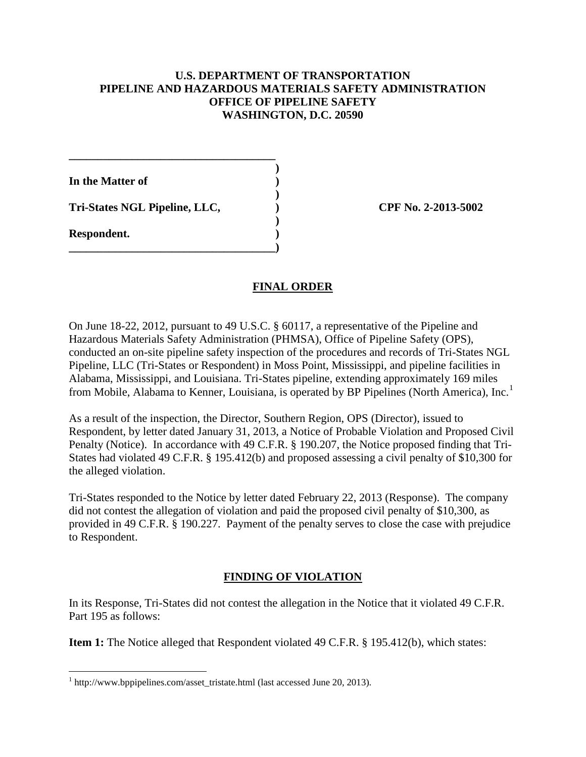## **U.S. DEPARTMENT OF TRANSPORTATION PIPELINE AND HAZARDOUS MATERIALS SAFETY ADMINISTRATION OFFICE OF PIPELINE SAFETY WASHINGTON, D.C. 20590**

 **) In the Matter of )** 

**Tri-States NGL Pipeline, LLC, ) CPF No. 2-2013-5002**

**\_\_\_\_\_\_\_\_\_\_\_\_\_\_\_\_\_\_\_\_\_\_\_\_\_\_\_\_\_\_\_\_\_\_\_\_** 

 **)** 

**\_\_\_\_\_\_\_\_\_\_\_\_\_\_\_\_\_\_\_\_\_\_\_\_\_\_\_\_\_\_\_\_\_\_\_\_)** 

**Respondent. )** 

 $\overline{a}$ 

## **FINAL ORDER**

**)** 

On June 18-22, 2012, pursuant to 49 U.S.C. § 60117, a representative of the Pipeline and Hazardous Materials Safety Administration (PHMSA), Office of Pipeline Safety (OPS), conducted an on-site pipeline safety inspection of the procedures and records of Tri-States NGL Pipeline, LLC (Tri-States or Respondent) in Moss Point, Mississippi, and pipeline facilities in Alabama, Mississippi, and Louisiana. Tri-States pipeline, extending approximately 169 miles from Mobile, Alabama to Kenner, Louisiana, is operated by BP Pipelines (North America), Inc.<sup>1</sup>

As a result of the inspection, the Director, Southern Region, OPS (Director), issued to Respondent, by letter dated January 31, 2013, a Notice of Probable Violation and Proposed Civil Penalty (Notice). In accordance with 49 C.F.R. § 190.207, the Notice proposed finding that Tri-States had violated 49 C.F.R. § 195.412(b) and proposed assessing a civil penalty of \$10,300 for the alleged violation.

Tri-States responded to the Notice by letter dated February 22, 2013 (Response). The company did not contest the allegation of violation and paid the proposed civil penalty of \$10,300, as provided in 49 C.F.R. § 190.227. Payment of the penalty serves to close the case with prejudice to Respondent.

# **FINDING OF VIOLATION**

In its Response, Tri-States did not contest the allegation in the Notice that it violated 49 C.F.R. Part 195 as follows:

**Item 1:** The Notice alleged that Respondent violated 49 C.F.R. § 195.412(b), which states:

<sup>&</sup>lt;sup>1</sup> http://www.bppipelines.com/asset\_tristate.html (last accessed June 20, 2013).